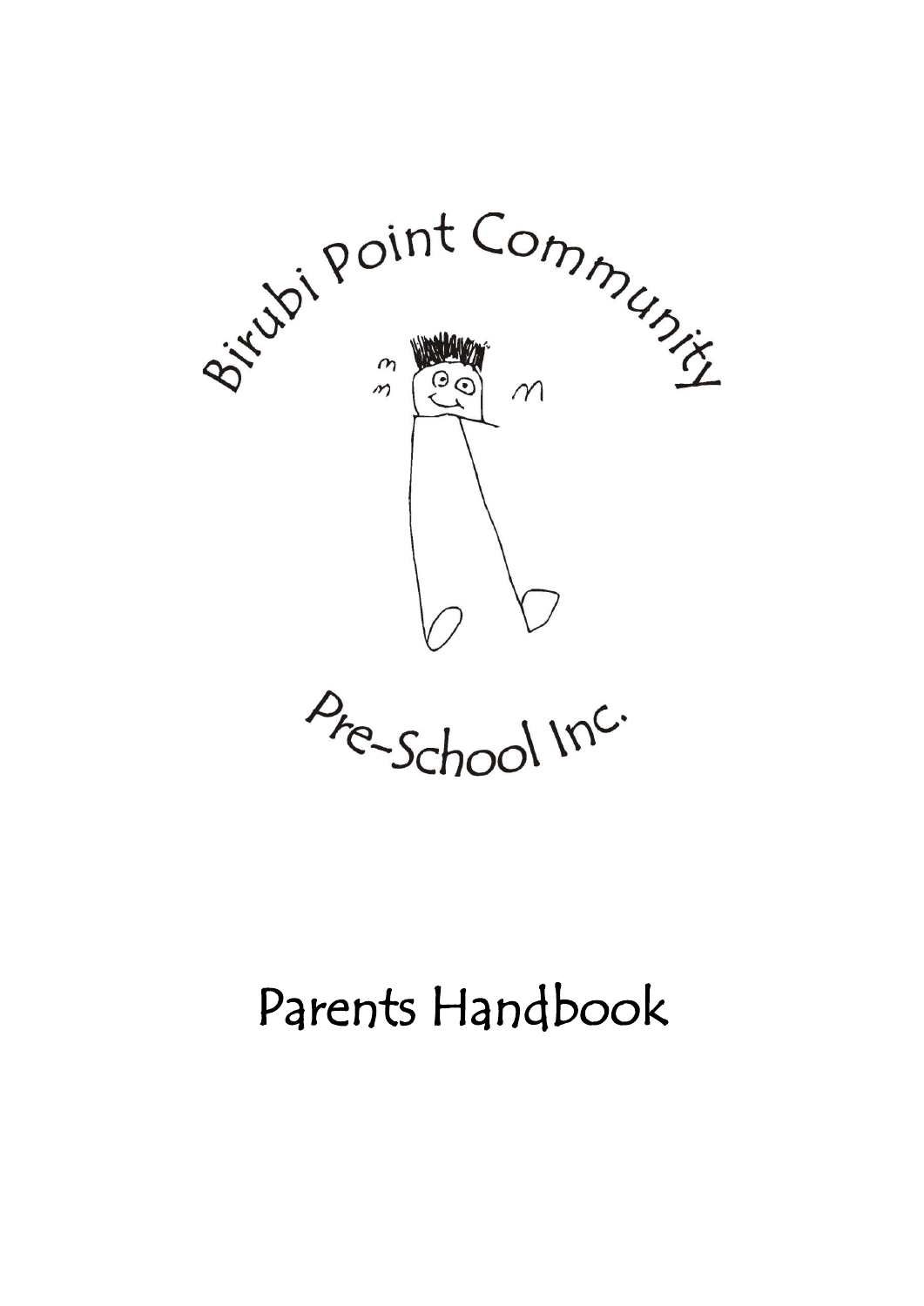

# Parents Handbook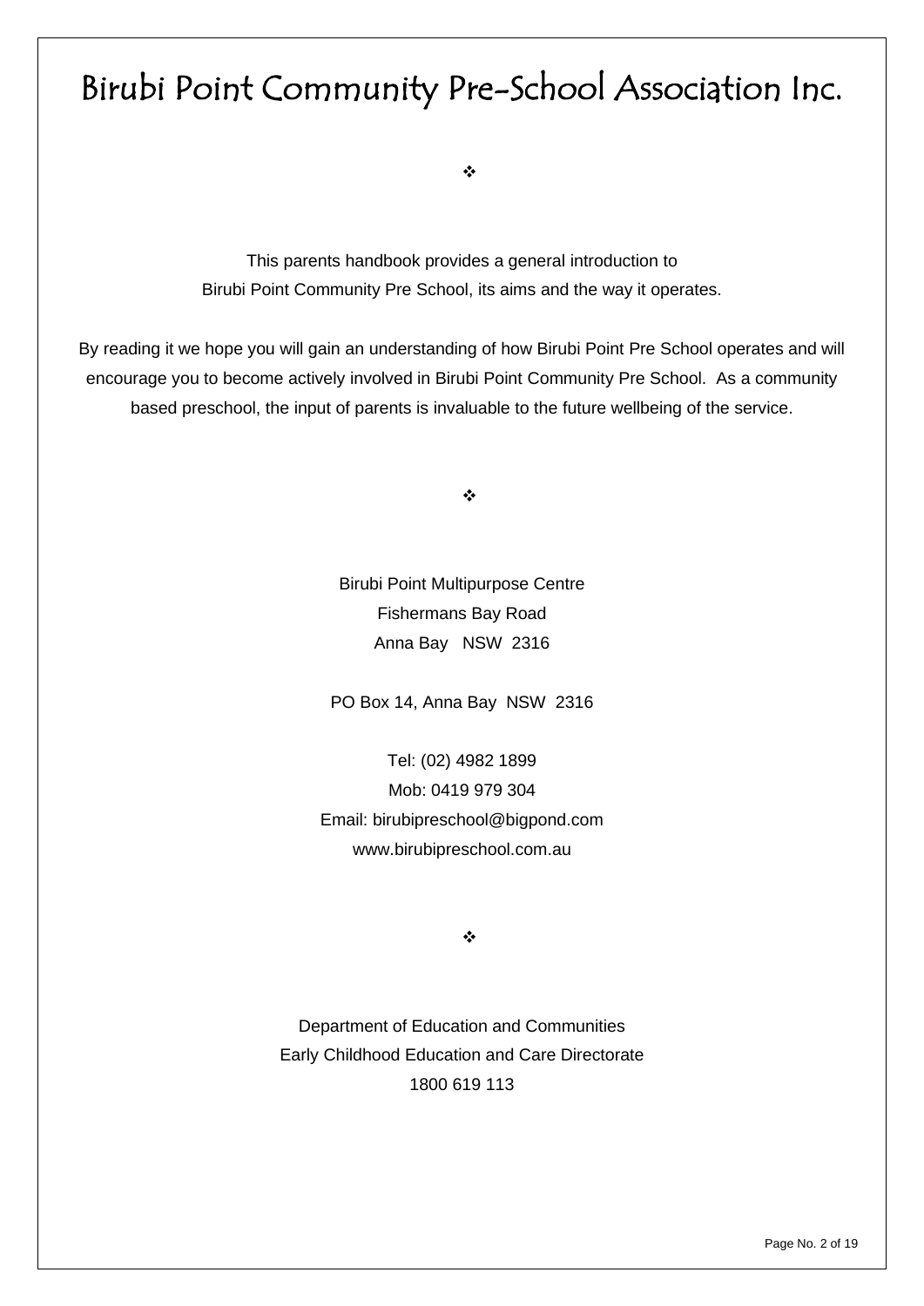# Birubi Point Community Pre-School Association Inc.

❖

This parents handbook provides a general introduction to Birubi Point Community Pre School, its aims and the way it operates.

By reading it we hope you will gain an understanding of how Birubi Point Pre School operates and will encourage you to become actively involved in Birubi Point Community Pre School. As a community based preschool, the input of parents is invaluable to the future wellbeing of the service.

❖

Birubi Point Multipurpose Centre Fishermans Bay Road Anna Bay NSW 2316

PO Box 14, Anna Bay NSW 2316

Tel: (02) 4982 1899 Mob: 0419 979 304 Email: [birubipreschool@bigpond.com](mailto:birubipreschool@bigpond.com) www.birubipreschool.com.au

❖

Department of Education and Communities Early Childhood Education and Care Directorate 1800 619 113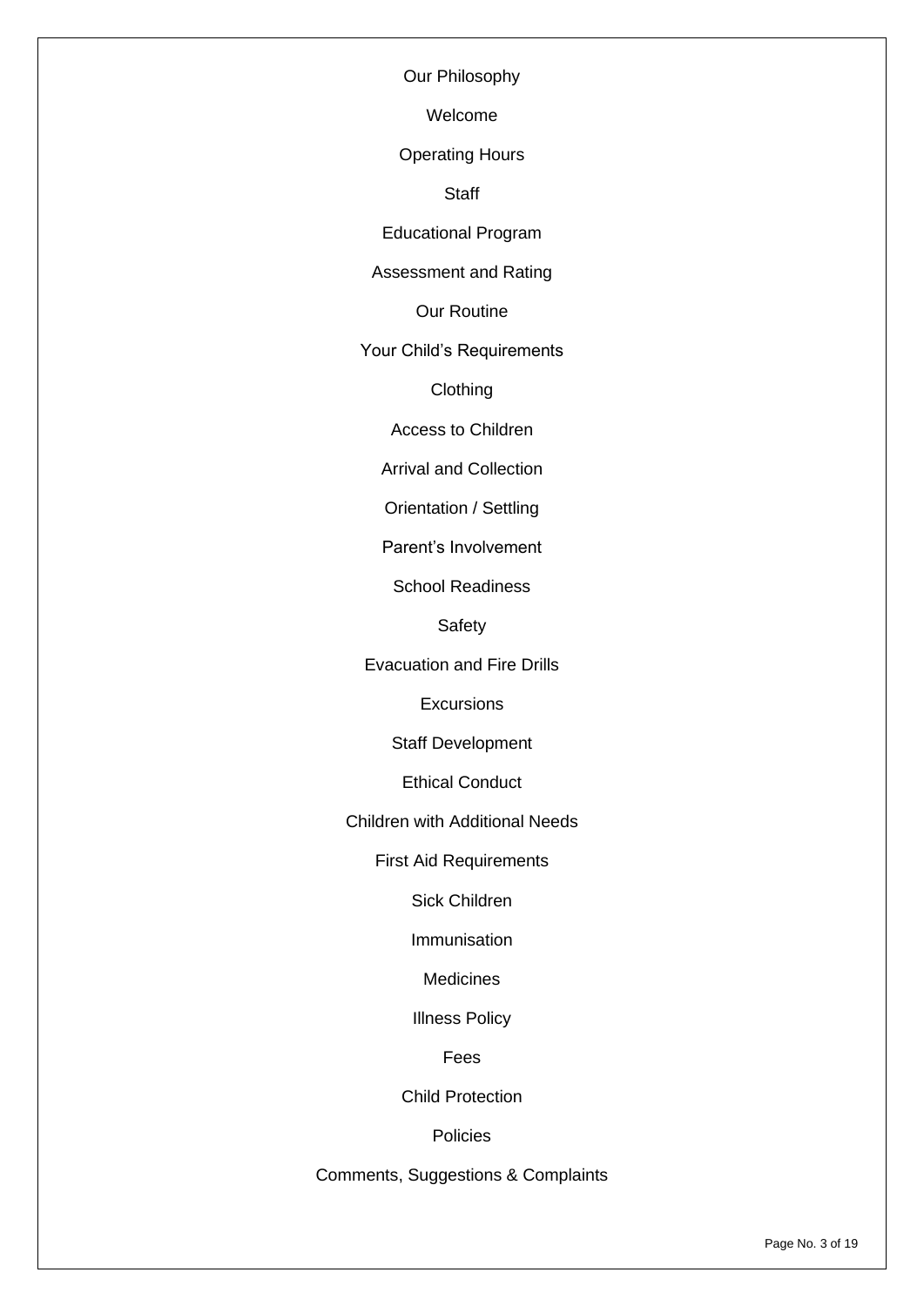Our Philosophy

Welcome

Operating Hours

**Staff** 

Educational Program

Assessment and Rating

Our Routine

Your Child's Requirements

Clothing

Access to Children

Arrival and Collection

Orientation / Settling

Parent's Involvement

School Readiness

Safety

Evacuation and Fire Drills

**Excursions** 

Staff Development

Ethical Conduct

Children with Additional Needs

First Aid Requirements

Sick Children

Immunisation

**Medicines** 

Illness Policy

Fees

Child Protection

**Policies** 

Comments, Suggestions & Complaints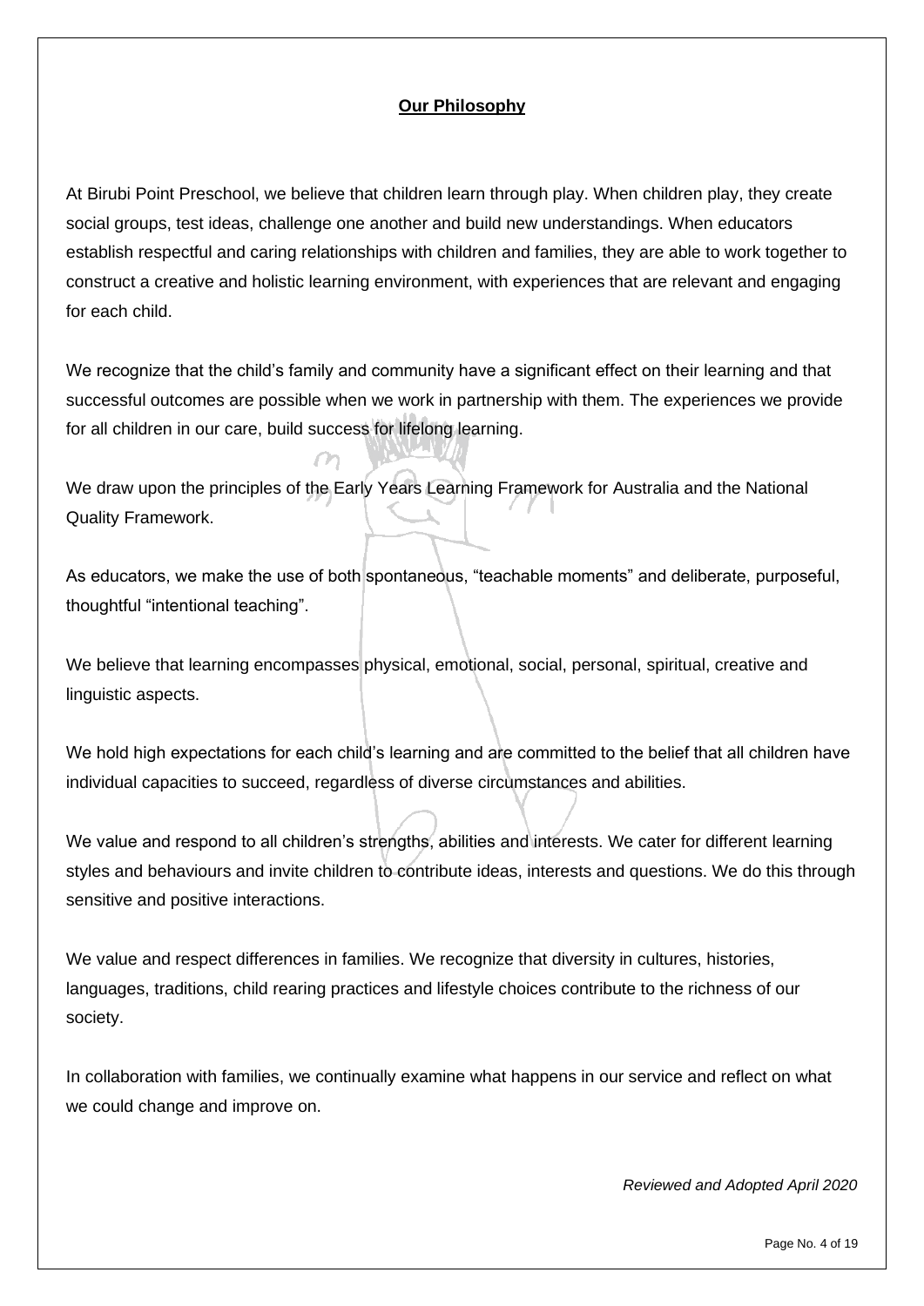# **Our Philosophy**

At Birubi Point Preschool, we believe that children learn through play. When children play, they create social groups, test ideas, challenge one another and build new understandings. When educators establish respectful and caring relationships with children and families, they are able to work together to construct a creative and holistic learning environment, with experiences that are relevant and engaging for each child.

We recognize that the child's family and community have a significant effect on their learning and that successful outcomes are possible when we work in partnership with them. The experiences we provide for all children in our care, build success for lifelong learning.

We draw upon the principles of the Early Years Learning Framework for Australia and the National Quality Framework.

As educators, we make the use of both spontaneous, "teachable moments" and deliberate, purposeful, thoughtful "intentional teaching".

We believe that learning encompasses physical, emotional, social, personal, spiritual, creative and linguistic aspects.

We hold high expectations for each child's learning and are committed to the belief that all children have individual capacities to succeed, regardless of diverse circumstances and abilities.

We value and respond to all children's strengths, abilities and interests. We cater for different learning styles and behaviours and invite children to contribute ideas, interests and questions. We do this through sensitive and positive interactions.

We value and respect differences in families. We recognize that diversity in cultures, histories, languages, traditions, child rearing practices and lifestyle choices contribute to the richness of our society.

In collaboration with families, we continually examine what happens in our service and reflect on what we could change and improve on.

*Reviewed and Adopted April 2020*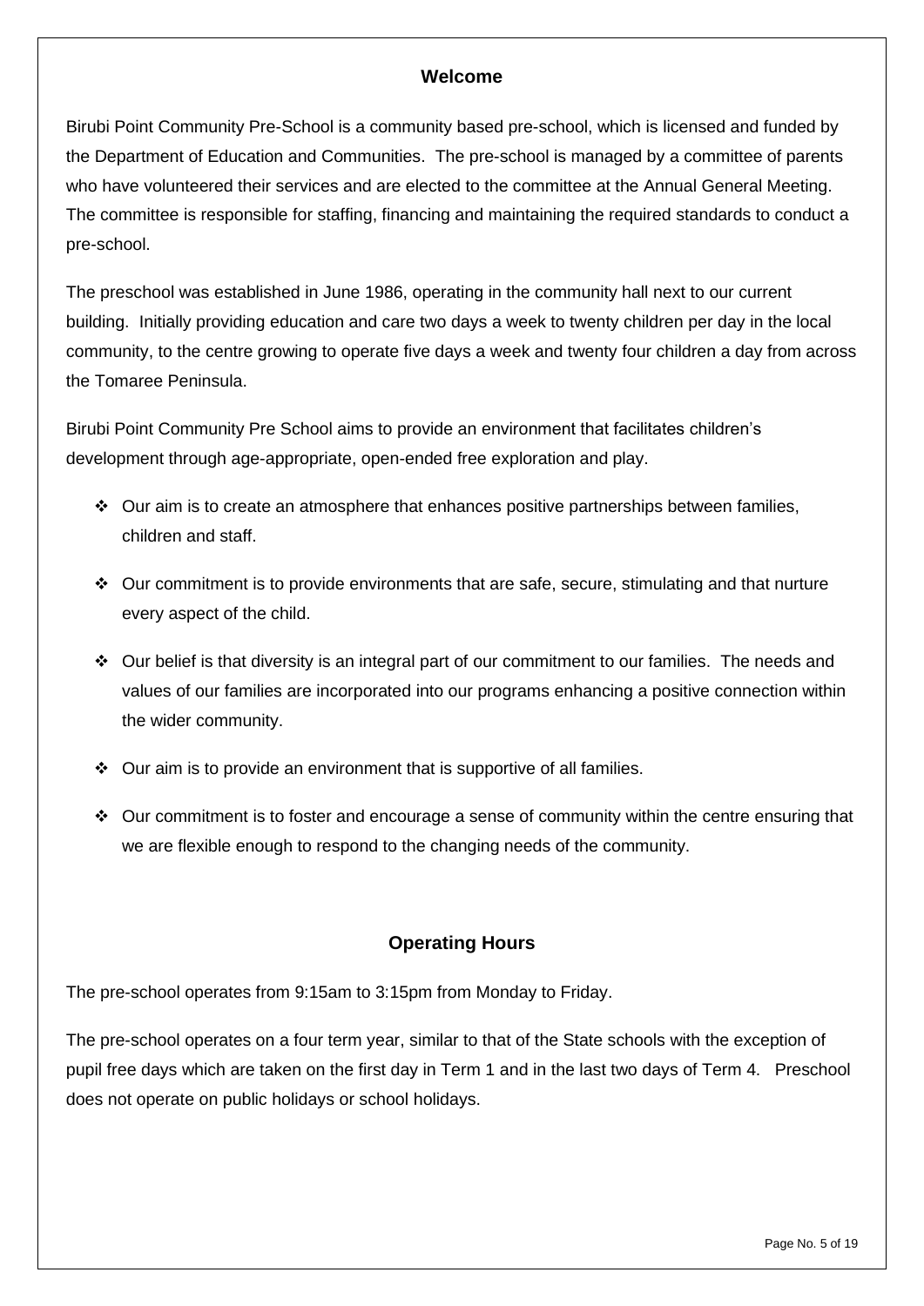#### **Welcome**

Birubi Point Community Pre-School is a community based pre-school, which is licensed and funded by the Department of Education and Communities. The pre-school is managed by a committee of parents who have volunteered their services and are elected to the committee at the Annual General Meeting. The committee is responsible for staffing, financing and maintaining the required standards to conduct a pre-school.

The preschool was established in June 1986, operating in the community hall next to our current building. Initially providing education and care two days a week to twenty children per day in the local community, to the centre growing to operate five days a week and twenty four children a day from across the Tomaree Peninsula.

Birubi Point Community Pre School aims to provide an environment that facilitates children's development through age-appropriate, open-ended free exploration and play.

- ❖ Our aim is to create an atmosphere that enhances positive partnerships between families, children and staff.
- ❖ Our commitment is to provide environments that are safe, secure, stimulating and that nurture every aspect of the child.
- $\div$  Our belief is that diversity is an integral part of our commitment to our families. The needs and values of our families are incorporated into our programs enhancing a positive connection within the wider community.
- ❖ Our aim is to provide an environment that is supportive of all families.
- ❖ Our commitment is to foster and encourage a sense of community within the centre ensuring that we are flexible enough to respond to the changing needs of the community.

# **Operating Hours**

The pre-school operates from 9:15am to 3:15pm from Monday to Friday.

The pre-school operates on a four term year, similar to that of the State schools with the exception of pupil free days which are taken on the first day in Term 1 and in the last two days of Term 4. Preschool does not operate on public holidays or school holidays.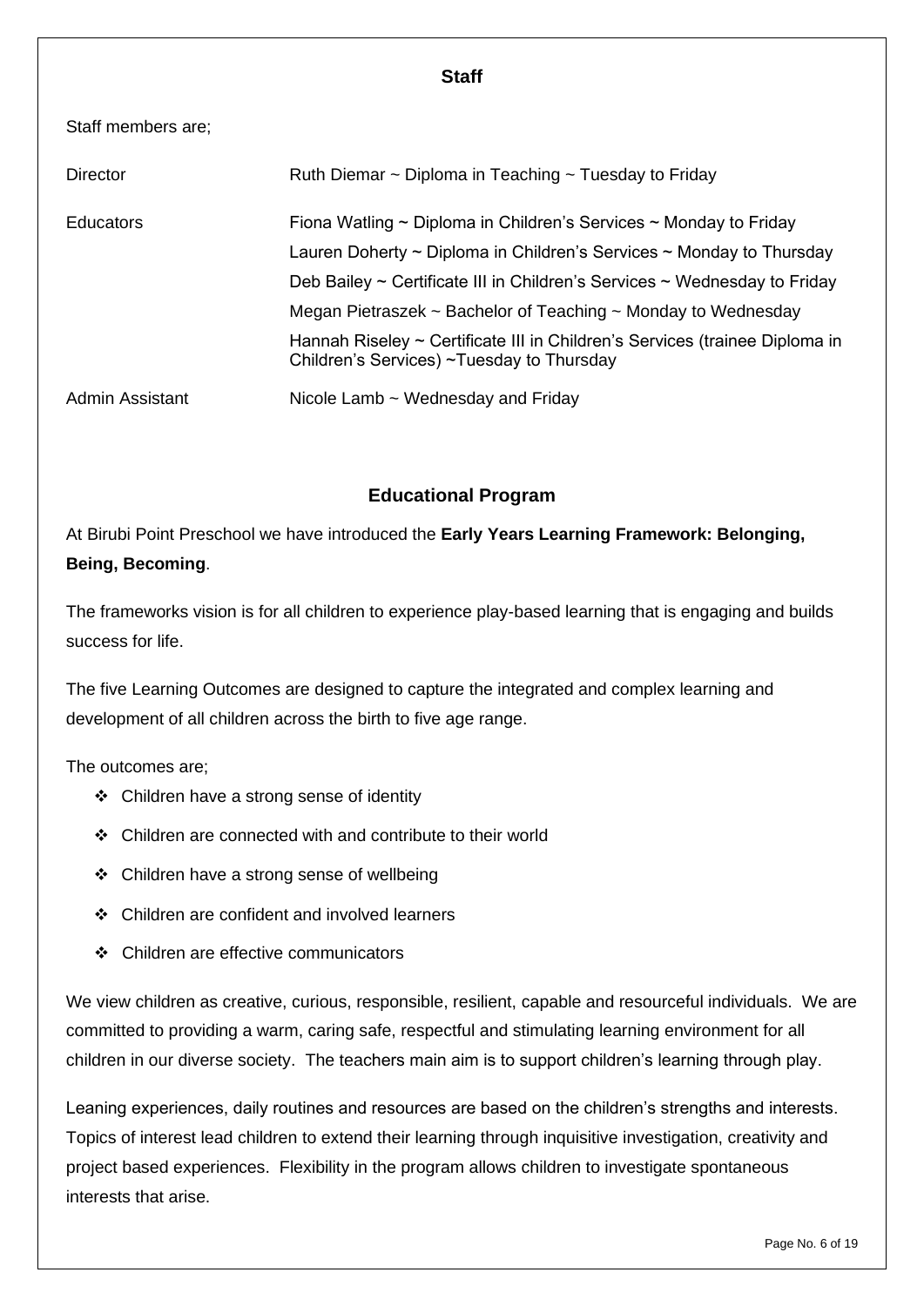#### **Staff**

#### Staff members are;

| <b>Director</b> | Ruth Diemar ~ Diploma in Teaching ~ Tuesday to Friday                                                                                                                                                                                                |
|-----------------|------------------------------------------------------------------------------------------------------------------------------------------------------------------------------------------------------------------------------------------------------|
| Educators       | Fiona Watling $\sim$ Diploma in Children's Services $\sim$ Monday to Friday<br>Lauren Doherty $\sim$ Diploma in Children's Services $\sim$ Monday to Thursday<br>Deb Bailey $\sim$ Certificate III in Children's Services $\sim$ Wednesday to Friday |
|                 | Megan Pietraszek $\sim$ Bachelor of Teaching $\sim$ Monday to Wednesday<br>Hannah Riseley ~ Certificate III in Children's Services (trainee Diploma in<br>Children's Services) ~Tuesday to Thursday                                                  |
| Admin Assistant | Nicole Lamb $\sim$ Wednesday and Friday                                                                                                                                                                                                              |

# **Educational Program**

At Birubi Point Preschool we have introduced the **Early Years Learning Framework: Belonging, Being, Becoming**.

The frameworks vision is for all children to experience play-based learning that is engaging and builds success for life.

The five Learning Outcomes are designed to capture the integrated and complex learning and development of all children across the birth to five age range.

The outcomes are;

- ❖ Children have a strong sense of identity
- ❖ Children are connected with and contribute to their world
- ❖ Children have a strong sense of wellbeing
- ❖ Children are confident and involved learners
- ❖ Children are effective communicators

We view children as creative, curious, responsible, resilient, capable and resourceful individuals. We are committed to providing a warm, caring safe, respectful and stimulating learning environment for all children in our diverse society. The teachers main aim is to support children's learning through play.

Leaning experiences, daily routines and resources are based on the children's strengths and interests. Topics of interest lead children to extend their learning through inquisitive investigation, creativity and project based experiences. Flexibility in the program allows children to investigate spontaneous interests that arise.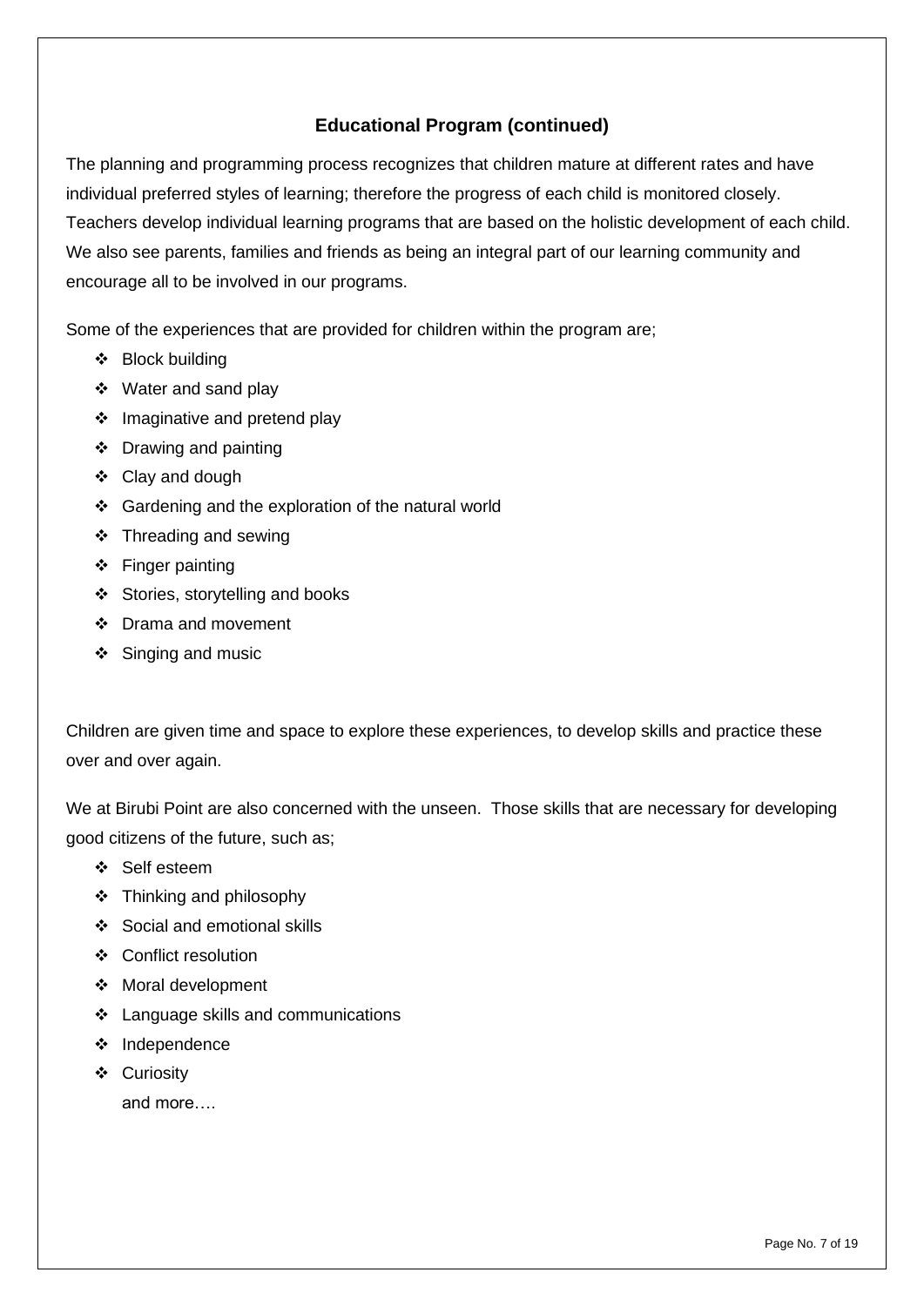# **Educational Program (continued)**

The planning and programming process recognizes that children mature at different rates and have individual preferred styles of learning; therefore the progress of each child is monitored closely. Teachers develop individual learning programs that are based on the holistic development of each child. We also see parents, families and friends as being an integral part of our learning community and encourage all to be involved in our programs.

Some of the experiences that are provided for children within the program are;

- ❖ Block building
- ❖ Water and sand play
- ❖ Imaginative and pretend play
- ❖ Drawing and painting
- ❖ Clay and dough
- ❖ Gardening and the exploration of the natural world
- ❖ Threading and sewing
- ❖ Finger painting
- ❖ Stories, storytelling and books
- ❖ Drama and movement
- ❖ Singing and music

Children are given time and space to explore these experiences, to develop skills and practice these over and over again.

We at Birubi Point are also concerned with the unseen. Those skills that are necessary for developing good citizens of the future, such as;

- ❖ Self esteem
- ❖ Thinking and philosophy
- ❖ Social and emotional skills
- ❖ Conflict resolution
- ❖ Moral development
- ❖ Language skills and communications
- ❖ Independence
- ❖ Curiosity

and more….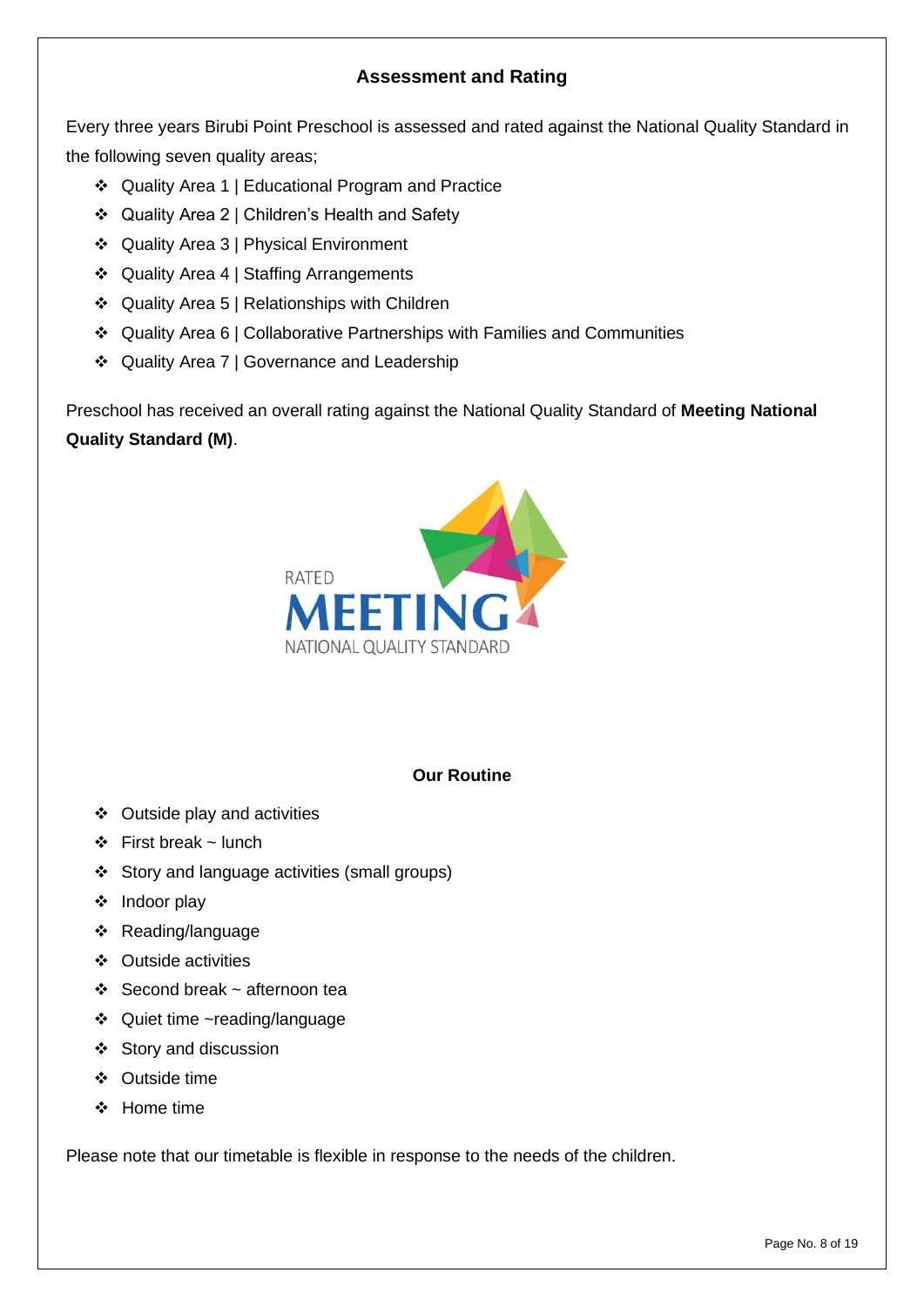# **Assessment and Rating**

Every three years Birubi Point Preschool is assessed and rated against the National Quality Standard in the following seven quality areas;

- ❖ Quality Area 1 | Educational Program and Practice
- ❖ Quality Area 2 | Children's Health and Safety
- ❖ Quality Area 3 | Physical Environment
- ❖ Quality Area 4 | Staffing Arrangements
- ❖ Quality Area 5 | Relationships with Children
- ❖ Quality Area 6 | Collaborative Partnerships with Families and Communities
- ❖ Quality Area 7 | Governance and Leadership

Preschool has received an overall rating against the National Quality Standard of **Meeting National Quality Standard (M)**.



#### **Our Routine**

- ❖ Outside play and activities
- ❖ First break ~ lunch
- ❖ Story and language activities (small groups)
- ❖ Indoor play
- ❖ Reading/language
- ❖ Outside activities
- ❖ Second break ~ afternoon tea
- ❖ Quiet time ~reading/language
- ❖ Story and discussion
- ❖ Outside time
- ❖ Home time

Please note that our timetable is flexible in response to the needs of the children.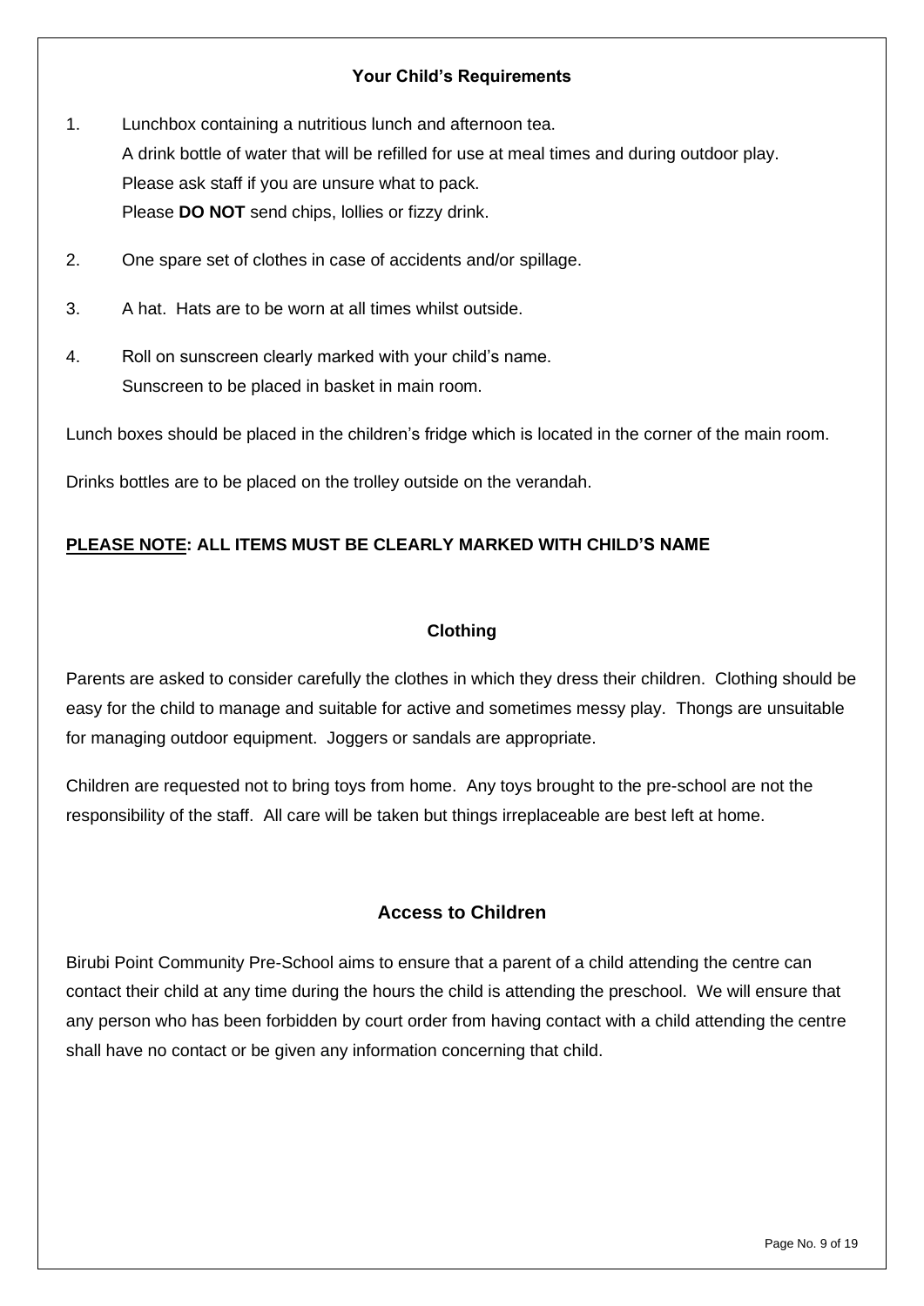#### **Your Child's Requirements**

- 1. Lunchbox containing a nutritious lunch and afternoon tea. A drink bottle of water that will be refilled for use at meal times and during outdoor play. Please ask staff if you are unsure what to pack. Please **DO NOT** send chips, lollies or fizzy drink.
- 2. One spare set of clothes in case of accidents and/or spillage.
- 3. A hat. Hats are to be worn at all times whilst outside.
- 4. Roll on sunscreen clearly marked with your child's name. Sunscreen to be placed in basket in main room.

Lunch boxes should be placed in the children's fridge which is located in the corner of the main room.

Drinks bottles are to be placed on the trolley outside on the verandah.

#### **PLEASE NOTE: ALL ITEMS MUST BE CLEARLY MARKED WITH CHILD'S NAME**

#### **Clothing**

Parents are asked to consider carefully the clothes in which they dress their children. Clothing should be easy for the child to manage and suitable for active and sometimes messy play. Thongs are unsuitable for managing outdoor equipment. Joggers or sandals are appropriate.

Children are requested not to bring toys from home. Any toys brought to the pre-school are not the responsibility of the staff. All care will be taken but things irreplaceable are best left at home.

# **Access to Children**

Birubi Point Community Pre-School aims to ensure that a parent of a child attending the centre can contact their child at any time during the hours the child is attending the preschool. We will ensure that any person who has been forbidden by court order from having contact with a child attending the centre shall have no contact or be given any information concerning that child.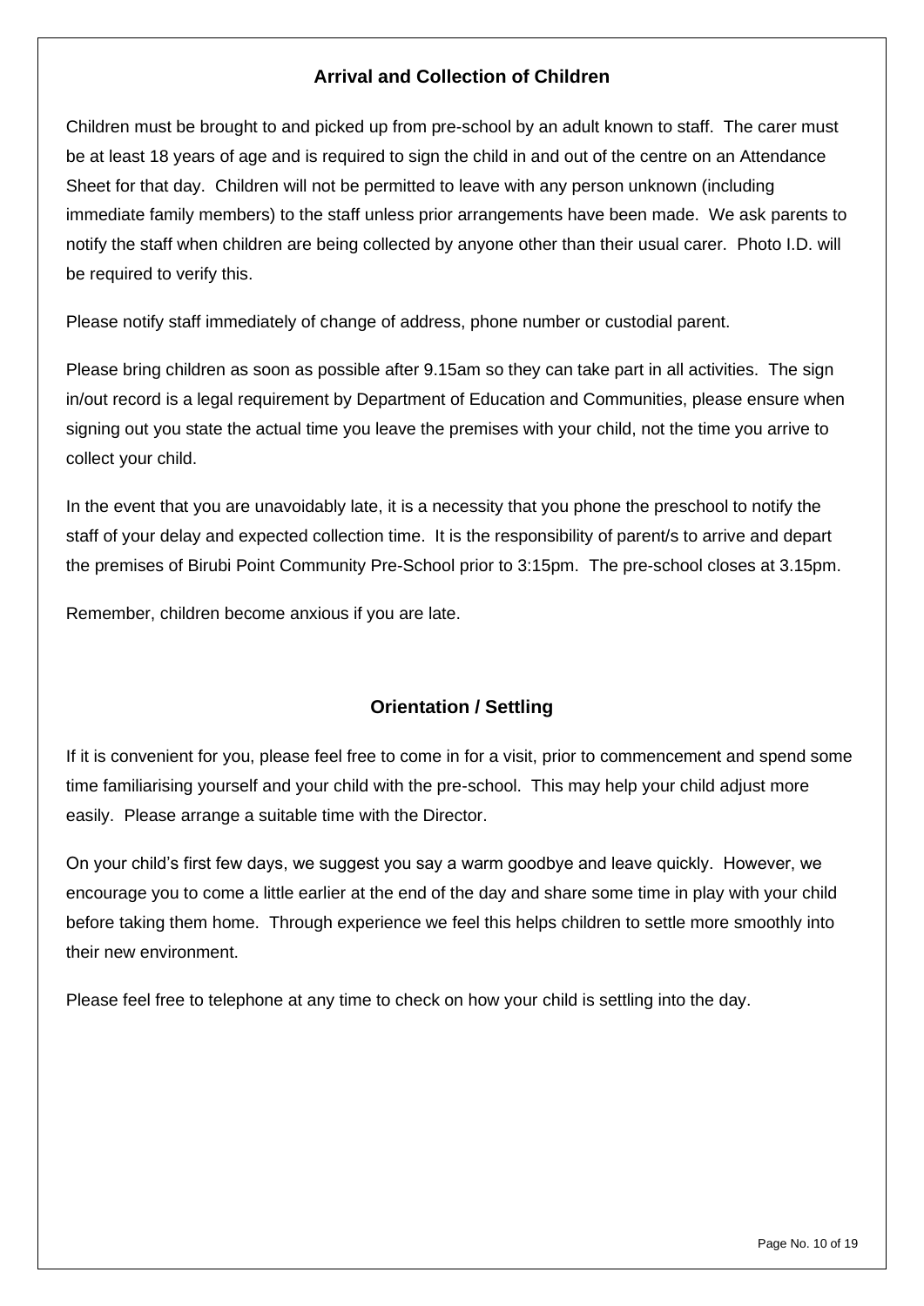# **Arrival and Collection of Children**

Children must be brought to and picked up from pre-school by an adult known to staff. The carer must be at least 18 years of age and is required to sign the child in and out of the centre on an Attendance Sheet for that day. Children will not be permitted to leave with any person unknown (including immediate family members) to the staff unless prior arrangements have been made. We ask parents to notify the staff when children are being collected by anyone other than their usual carer. Photo I.D. will be required to verify this.

Please notify staff immediately of change of address, phone number or custodial parent.

Please bring children as soon as possible after 9.15am so they can take part in all activities. The sign in/out record is a legal requirement by Department of Education and Communities, please ensure when signing out you state the actual time you leave the premises with your child, not the time you arrive to collect your child.

In the event that you are unavoidably late, it is a necessity that you phone the preschool to notify the staff of your delay and expected collection time. It is the responsibility of parent/s to arrive and depart the premises of Birubi Point Community Pre-School prior to 3:15pm. The pre-school closes at 3.15pm.

Remember, children become anxious if you are late.

# **Orientation / Settling**

If it is convenient for you, please feel free to come in for a visit, prior to commencement and spend some time familiarising yourself and your child with the pre-school. This may help your child adjust more easily. Please arrange a suitable time with the Director.

On your child's first few days, we suggest you say a warm goodbye and leave quickly. However, we encourage you to come a little earlier at the end of the day and share some time in play with your child before taking them home. Through experience we feel this helps children to settle more smoothly into their new environment.

Please feel free to telephone at any time to check on how your child is settling into the day.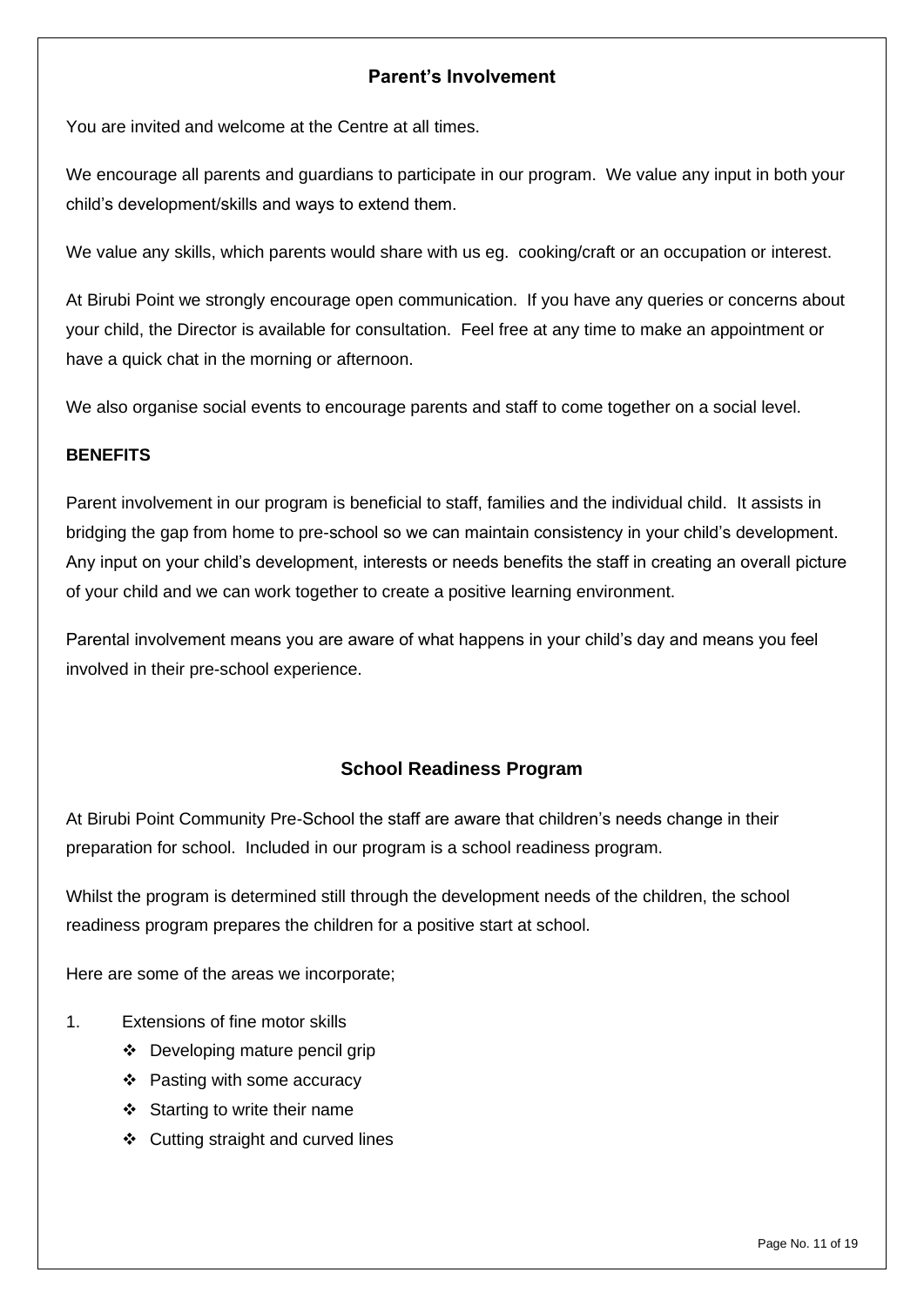# **Parent's Involvement**

You are invited and welcome at the Centre at all times.

We encourage all parents and guardians to participate in our program. We value any input in both your child's development/skills and ways to extend them.

We value any skills, which parents would share with us eg. cooking/craft or an occupation or interest.

At Birubi Point we strongly encourage open communication. If you have any queries or concerns about your child, the Director is available for consultation. Feel free at any time to make an appointment or have a quick chat in the morning or afternoon.

We also organise social events to encourage parents and staff to come together on a social level.

#### **BENEFITS**

Parent involvement in our program is beneficial to staff, families and the individual child. It assists in bridging the gap from home to pre-school so we can maintain consistency in your child's development. Any input on your child's development, interests or needs benefits the staff in creating an overall picture of your child and we can work together to create a positive learning environment.

Parental involvement means you are aware of what happens in your child's day and means you feel involved in their pre-school experience.

# **School Readiness Program**

At Birubi Point Community Pre-School the staff are aware that children's needs change in their preparation for school. Included in our program is a school readiness program.

Whilst the program is determined still through the development needs of the children, the school readiness program prepares the children for a positive start at school.

Here are some of the areas we incorporate;

- 1. Extensions of fine motor skills
	- ❖ Developing mature pencil grip
	- ❖ Pasting with some accuracy
	- ❖ Starting to write their name
	- ❖ Cutting straight and curved lines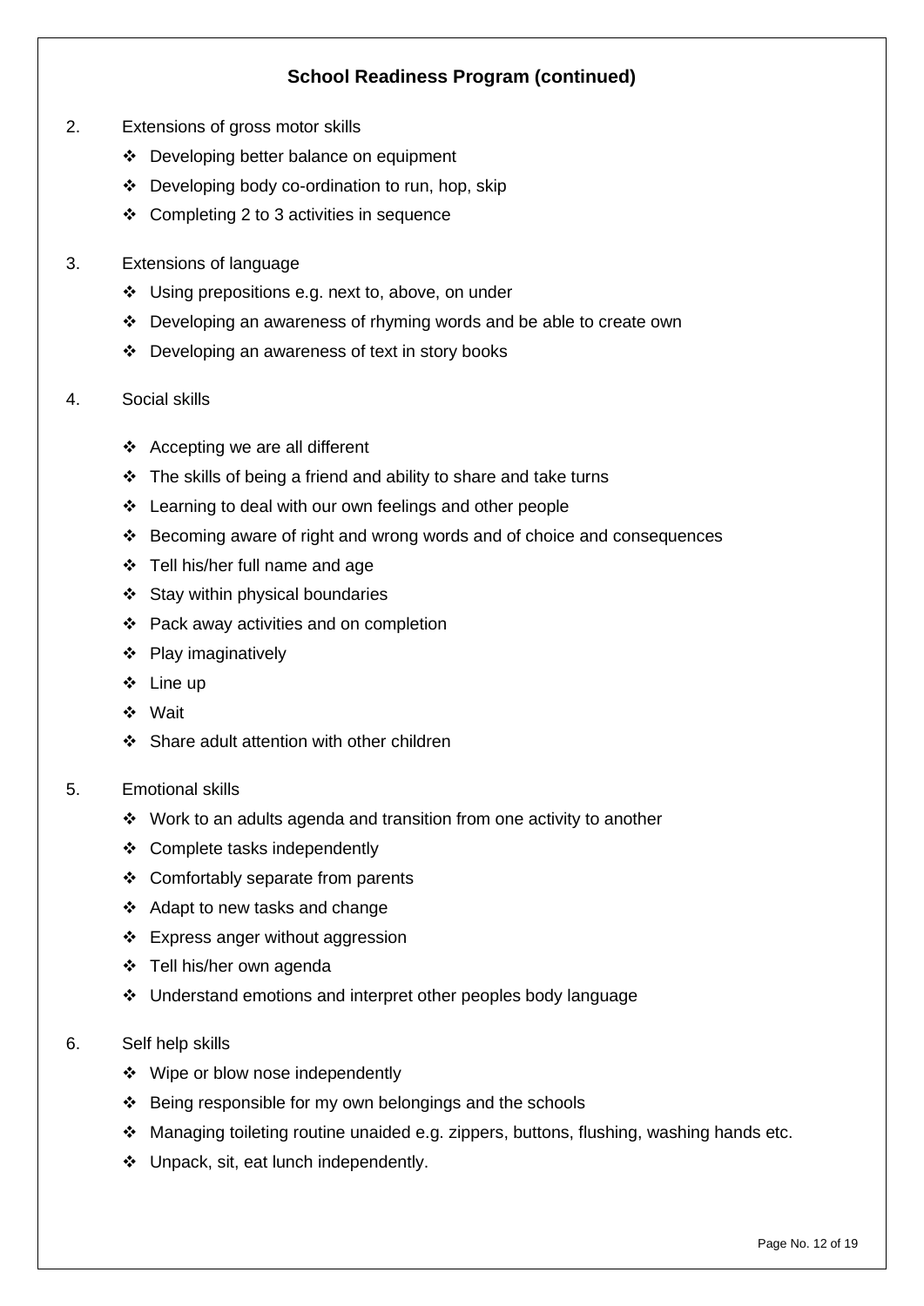# **School Readiness Program (continued)**

- 2. Extensions of gross motor skills
	- ❖ Developing better balance on equipment
	- ❖ Developing body co-ordination to run, hop, skip
	- ❖ Completing 2 to 3 activities in sequence
- 3. Extensions of language
	- ❖ Using prepositions e.g. next to, above, on under
	- ❖ Developing an awareness of rhyming words and be able to create own
	- ❖ Developing an awareness of text in story books
- 4. Social skills
	- ❖ Accepting we are all different
	- ❖ The skills of being a friend and ability to share and take turns
	- ❖ Learning to deal with our own feelings and other people
	- ❖ Becoming aware of right and wrong words and of choice and consequences
	- ❖ Tell his/her full name and age
	- ❖ Stay within physical boundaries
	- ❖ Pack away activities and on completion
	- ❖ Play imaginatively
	- ❖ Line up
	- ❖ Wait
	- ❖ Share adult attention with other children
- 5. Emotional skills
	- ❖ Work to an adults agenda and transition from one activity to another
	- ❖ Complete tasks independently
	- ❖ Comfortably separate from parents
	- ❖ Adapt to new tasks and change
	- ❖ Express anger without aggression
	- ❖ Tell his/her own agenda
	- ❖ Understand emotions and interpret other peoples body language
- 6. Self help skills
	- ❖ Wipe or blow nose independently
	- ❖ Being responsible for my own belongings and the schools
	- ❖ Managing toileting routine unaided e.g. zippers, buttons, flushing, washing hands etc.
	- ❖ Unpack, sit, eat lunch independently.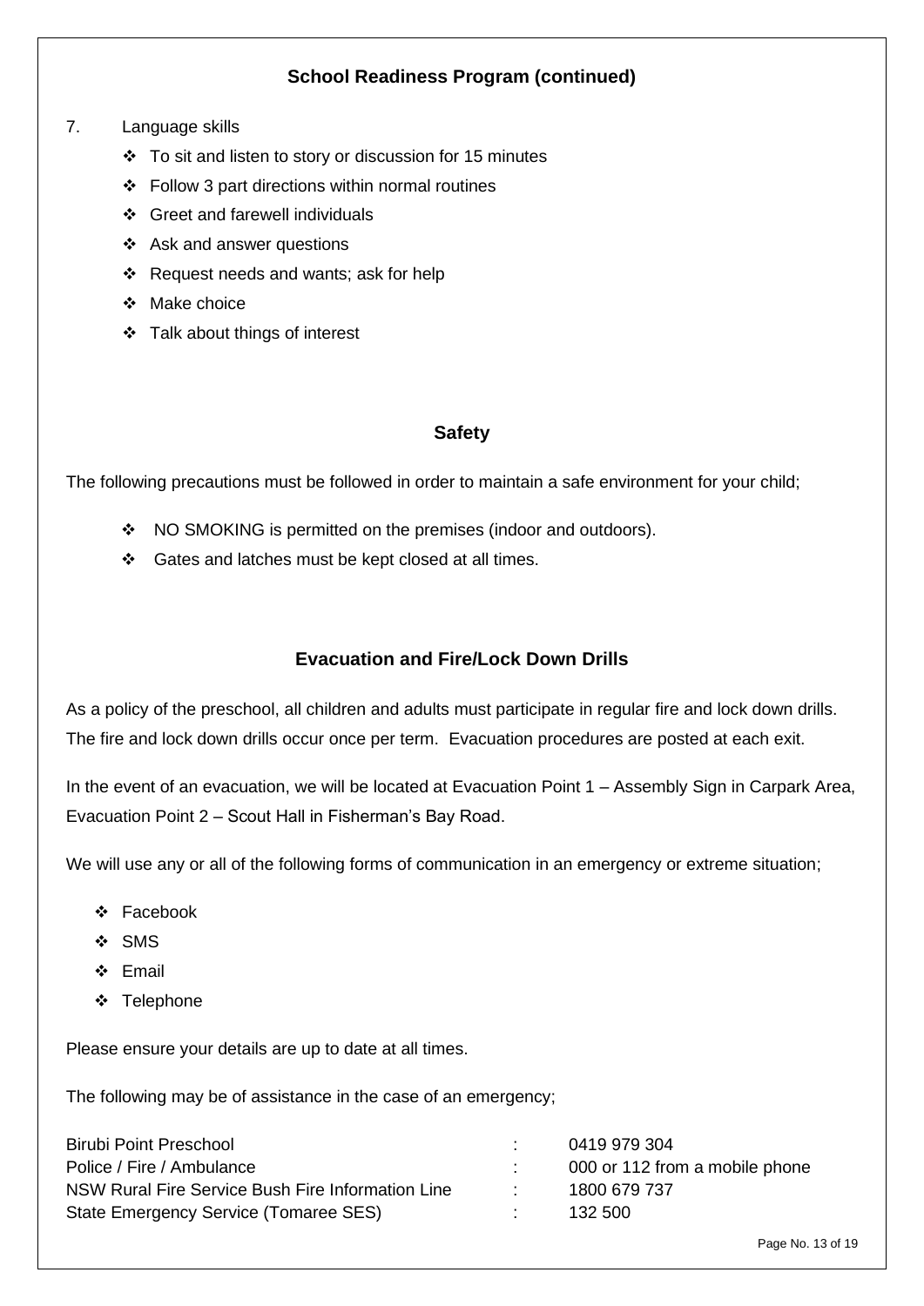# **School Readiness Program (continued)**

#### 7. Language skills

- ❖ To sit and listen to story or discussion for 15 minutes
- ❖ Follow 3 part directions within normal routines
- ❖ Greet and farewell individuals
- ❖ Ask and answer questions
- ❖ Request needs and wants; ask for help
- ❖ Make choice
- ❖ Talk about things of interest

#### **Safety**

The following precautions must be followed in order to maintain a safe environment for your child;

- ❖ NO SMOKING is permitted on the premises (indoor and outdoors).
- ❖ Gates and latches must be kept closed at all times.

# **Evacuation and Fire/Lock Down Drills**

As a policy of the preschool, all children and adults must participate in regular fire and lock down drills. The fire and lock down drills occur once per term. Evacuation procedures are posted at each exit.

In the event of an evacuation, we will be located at Evacuation Point 1 – Assembly Sign in Carpark Area, Evacuation Point 2 – Scout Hall in Fisherman's Bay Road.

We will use any or all of the following forms of communication in an emergency or extreme situation;

- ❖ Facebook
- ❖ SMS
- ❖ Email
- ❖ Telephone

Please ensure your details are up to date at all times.

The following may be of assistance in the case of an emergency;

| <b>Birubi Point Preschool</b>                     |                | 0419 979 304                   |
|---------------------------------------------------|----------------|--------------------------------|
| Police / Fire / Ambulance                         |                | 000 or 112 from a mobile phone |
| NSW Rural Fire Service Bush Fire Information Line | <b>Part 19</b> | 1800 679 737                   |
| State Emergency Service (Tomaree SES)             | <b>Part 19</b> | 132 500                        |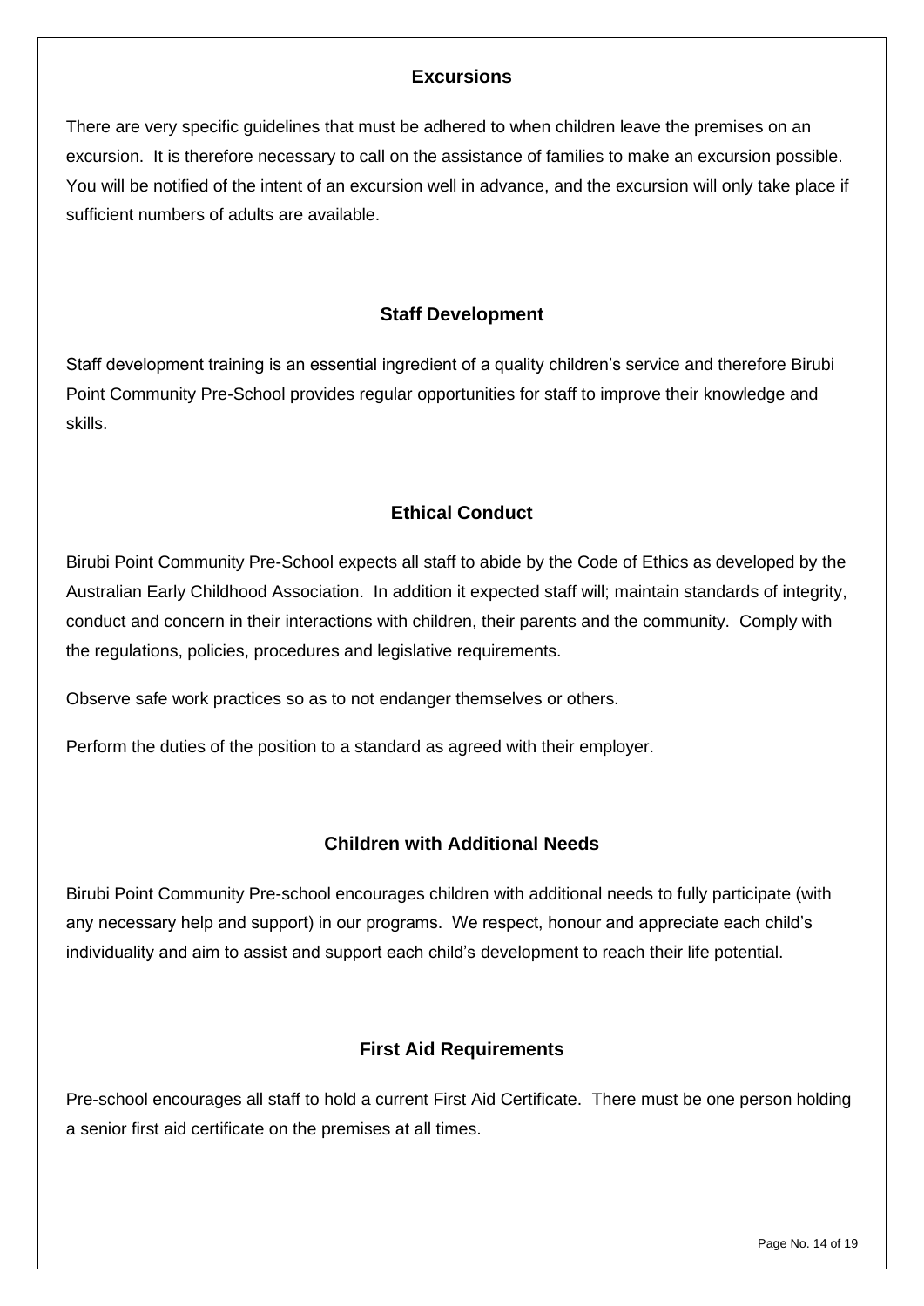# **Excursions**

There are very specific guidelines that must be adhered to when children leave the premises on an excursion. It is therefore necessary to call on the assistance of families to make an excursion possible. You will be notified of the intent of an excursion well in advance, and the excursion will only take place if sufficient numbers of adults are available.

# **Staff Development**

Staff development training is an essential ingredient of a quality children's service and therefore Birubi Point Community Pre-School provides regular opportunities for staff to improve their knowledge and skills.

# **Ethical Conduct**

Birubi Point Community Pre-School expects all staff to abide by the Code of Ethics as developed by the Australian Early Childhood Association. In addition it expected staff will; maintain standards of integrity, conduct and concern in their interactions with children, their parents and the community. Comply with the regulations, policies, procedures and legislative requirements.

Observe safe work practices so as to not endanger themselves or others.

Perform the duties of the position to a standard as agreed with their employer.

# **Children with Additional Needs**

Birubi Point Community Pre-school encourages children with additional needs to fully participate (with any necessary help and support) in our programs. We respect, honour and appreciate each child's individuality and aim to assist and support each child's development to reach their life potential.

# **First Aid Requirements**

Pre-school encourages all staff to hold a current First Aid Certificate. There must be one person holding a senior first aid certificate on the premises at all times.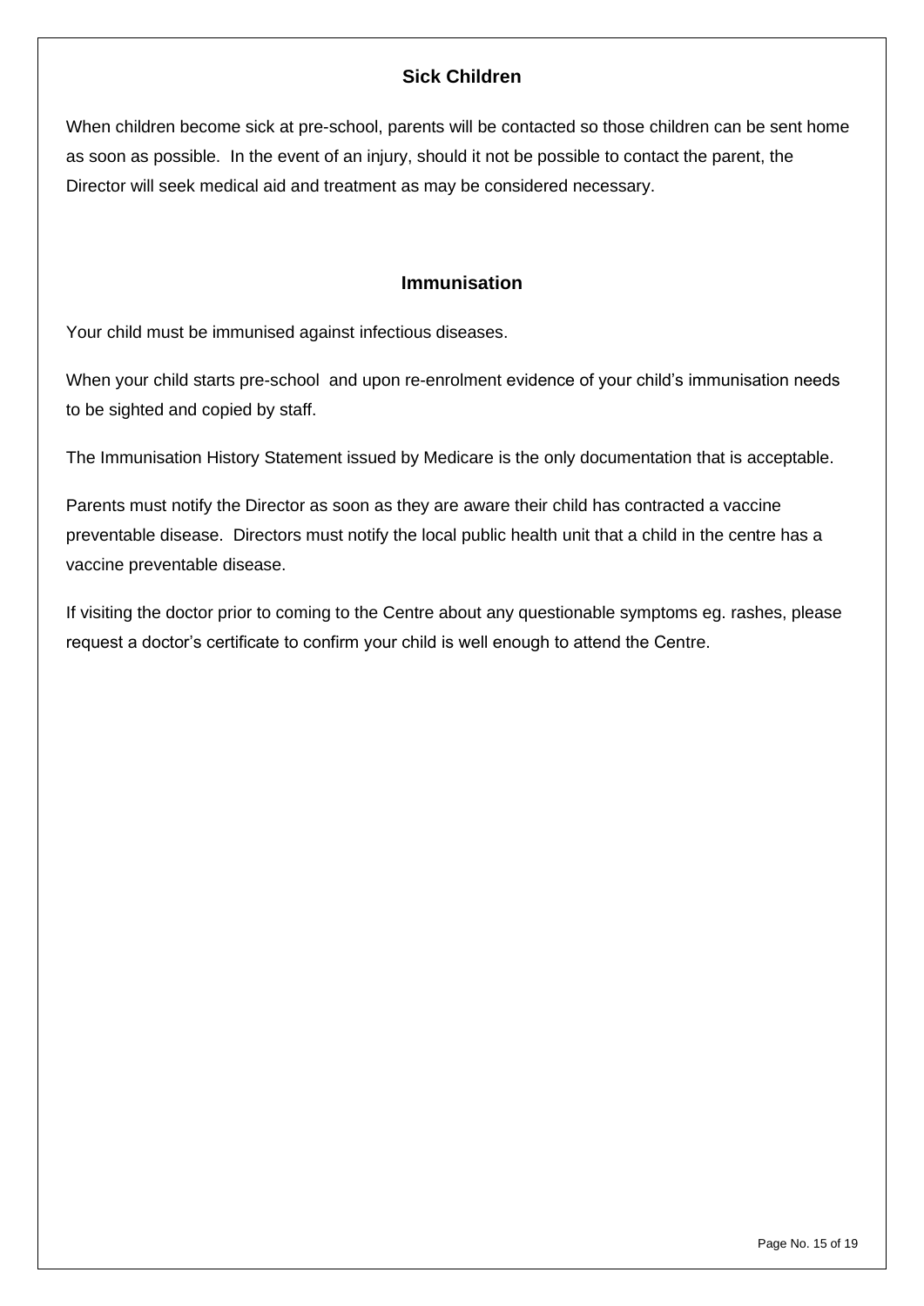# **Sick Children**

When children become sick at pre-school, parents will be contacted so those children can be sent home as soon as possible. In the event of an injury, should it not be possible to contact the parent, the Director will seek medical aid and treatment as may be considered necessary.

#### **Immunisation**

Your child must be immunised against infectious diseases.

When your child starts pre-school and upon re-enrolment evidence of your child's immunisation needs to be sighted and copied by staff.

The Immunisation History Statement issued by Medicare is the only documentation that is acceptable.

Parents must notify the Director as soon as they are aware their child has contracted a vaccine preventable disease. Directors must notify the local public health unit that a child in the centre has a vaccine preventable disease.

If visiting the doctor prior to coming to the Centre about any questionable symptoms eg. rashes, please request a doctor's certificate to confirm your child is well enough to attend the Centre.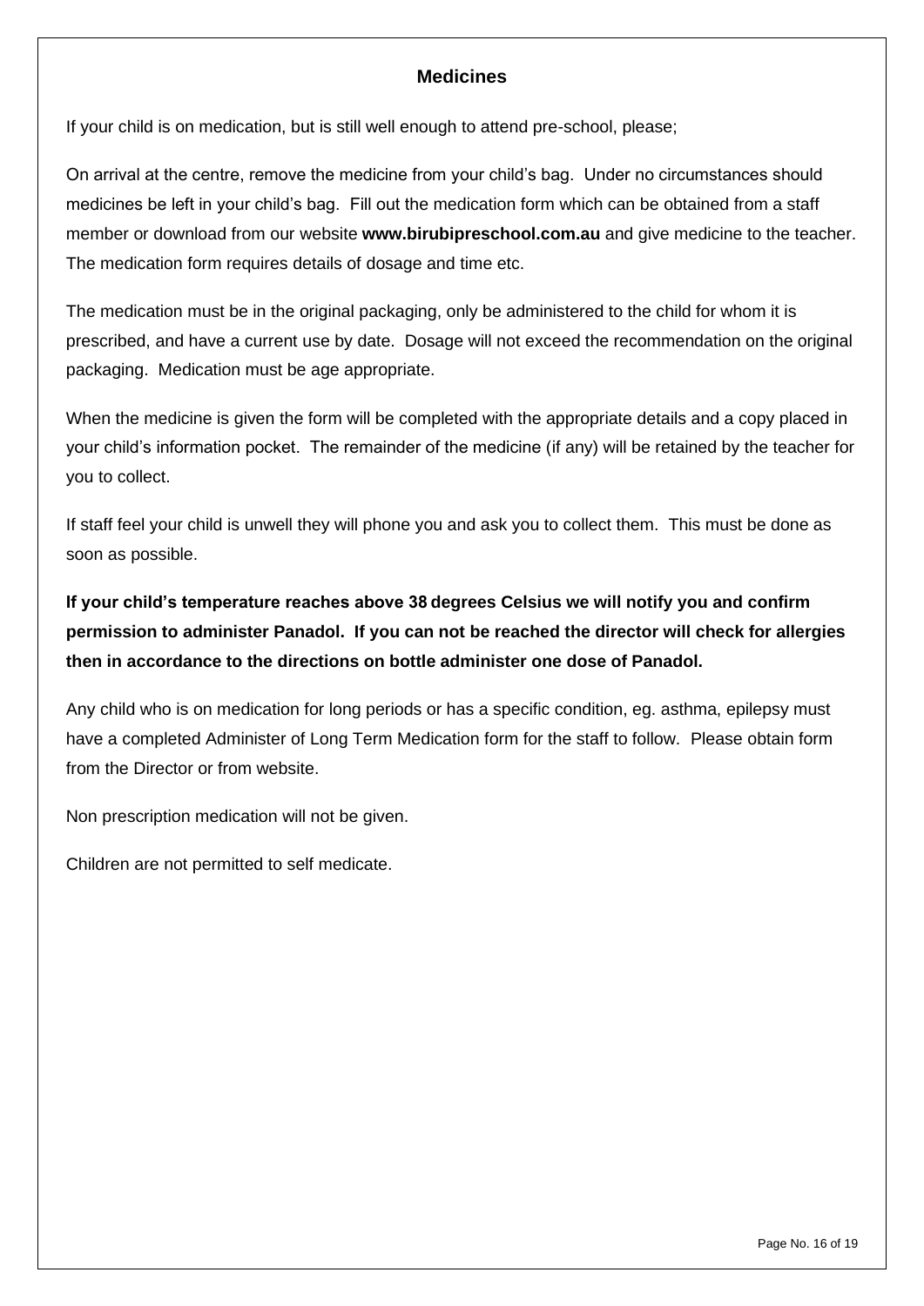# **Medicines**

If your child is on medication, but is still well enough to attend pre-school, please;

On arrival at the centre, remove the medicine from your child's bag. Under no circumstances should medicines be left in your child's bag. Fill out the medication form which can be obtained from a staff member or download from our website **[www.birubipreschool.com.](http://www.birubipreschool.com/)au** and give medicine to the teacher. The medication form requires details of dosage and time etc.

The medication must be in the original packaging, only be administered to the child for whom it is prescribed, and have a current use by date. Dosage will not exceed the recommendation on the original packaging. Medication must be age appropriate.

When the medicine is given the form will be completed with the appropriate details and a copy placed in your child's information pocket. The remainder of the medicine (if any) will be retained by the teacher for you to collect.

If staff feel your child is unwell they will phone you and ask you to collect them. This must be done as soon as possible.

**If your child's temperature reaches above 38 degrees Celsius we will notify you and confirm permission to administer Panadol. If you can not be reached the director will check for allergies then in accordance to the directions on bottle administer one dose of Panadol.** 

Any child who is on medication for long periods or has a specific condition, eg. asthma, epilepsy must have a completed Administer of Long Term Medication form for the staff to follow. Please obtain form from the Director or from website.

Non prescription medication will not be given.

Children are not permitted to self medicate.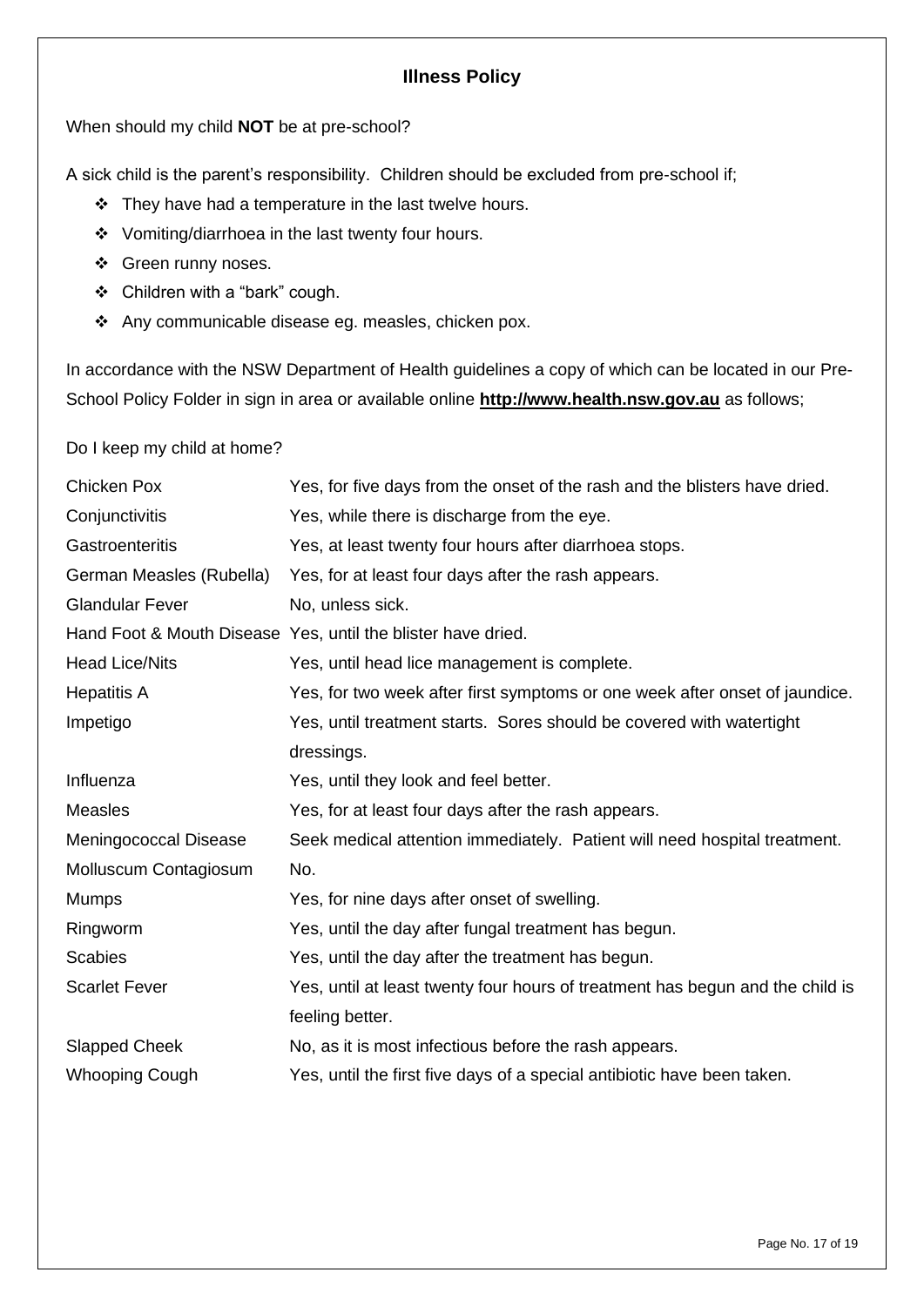# **Illness Policy**

When should my child **NOT** be at pre-school?

A sick child is the parent's responsibility. Children should be excluded from pre-school if;

- ❖ They have had a temperature in the last twelve hours.
- ❖ Vomiting/diarrhoea in the last twenty four hours.
- ❖ Green runny noses.
- ❖ Children with a "bark" cough.
- ❖ Any communicable disease eg. measles, chicken pox.

In accordance with the NSW Department of Health guidelines a copy of which can be located in our Pre-School Policy Folder in sign in area or available online **[http://www.health.nsw.gov.au](http://www.health.nsw.gov.au/)** as follows;

Do I keep my child at home?

| <b>Chicken Pox</b>       | Yes, for five days from the onset of the rash and the blisters have dried.    |  |  |  |
|--------------------------|-------------------------------------------------------------------------------|--|--|--|
| Conjunctivitis           | Yes, while there is discharge from the eye.                                   |  |  |  |
| Gastroenteritis          | Yes, at least twenty four hours after diarrhoea stops.                        |  |  |  |
| German Measles (Rubella) | Yes, for at least four days after the rash appears.                           |  |  |  |
| <b>Glandular Fever</b>   | No, unless sick.                                                              |  |  |  |
|                          | Hand Foot & Mouth Disease Yes, until the blister have dried.                  |  |  |  |
| <b>Head Lice/Nits</b>    | Yes, until head lice management is complete.                                  |  |  |  |
| <b>Hepatitis A</b>       | Yes, for two week after first symptoms or one week after onset of jaundice.   |  |  |  |
| Impetigo                 | Yes, until treatment starts. Sores should be covered with watertight          |  |  |  |
|                          | dressings.                                                                    |  |  |  |
| Influenza                | Yes, until they look and feel better.                                         |  |  |  |
| <b>Measles</b>           | Yes, for at least four days after the rash appears.                           |  |  |  |
| Meningococcal Disease    | Seek medical attention immediately. Patient will need hospital treatment.     |  |  |  |
| Molluscum Contagiosum    | No.                                                                           |  |  |  |
| <b>Mumps</b>             | Yes, for nine days after onset of swelling.                                   |  |  |  |
| Ringworm                 | Yes, until the day after fungal treatment has begun.                          |  |  |  |
| <b>Scabies</b>           | Yes, until the day after the treatment has begun.                             |  |  |  |
| <b>Scarlet Fever</b>     | Yes, until at least twenty four hours of treatment has begun and the child is |  |  |  |
|                          | feeling better.                                                               |  |  |  |
| <b>Slapped Cheek</b>     | No, as it is most infectious before the rash appears.                         |  |  |  |
| <b>Whooping Cough</b>    | Yes, until the first five days of a special antibiotic have been taken.       |  |  |  |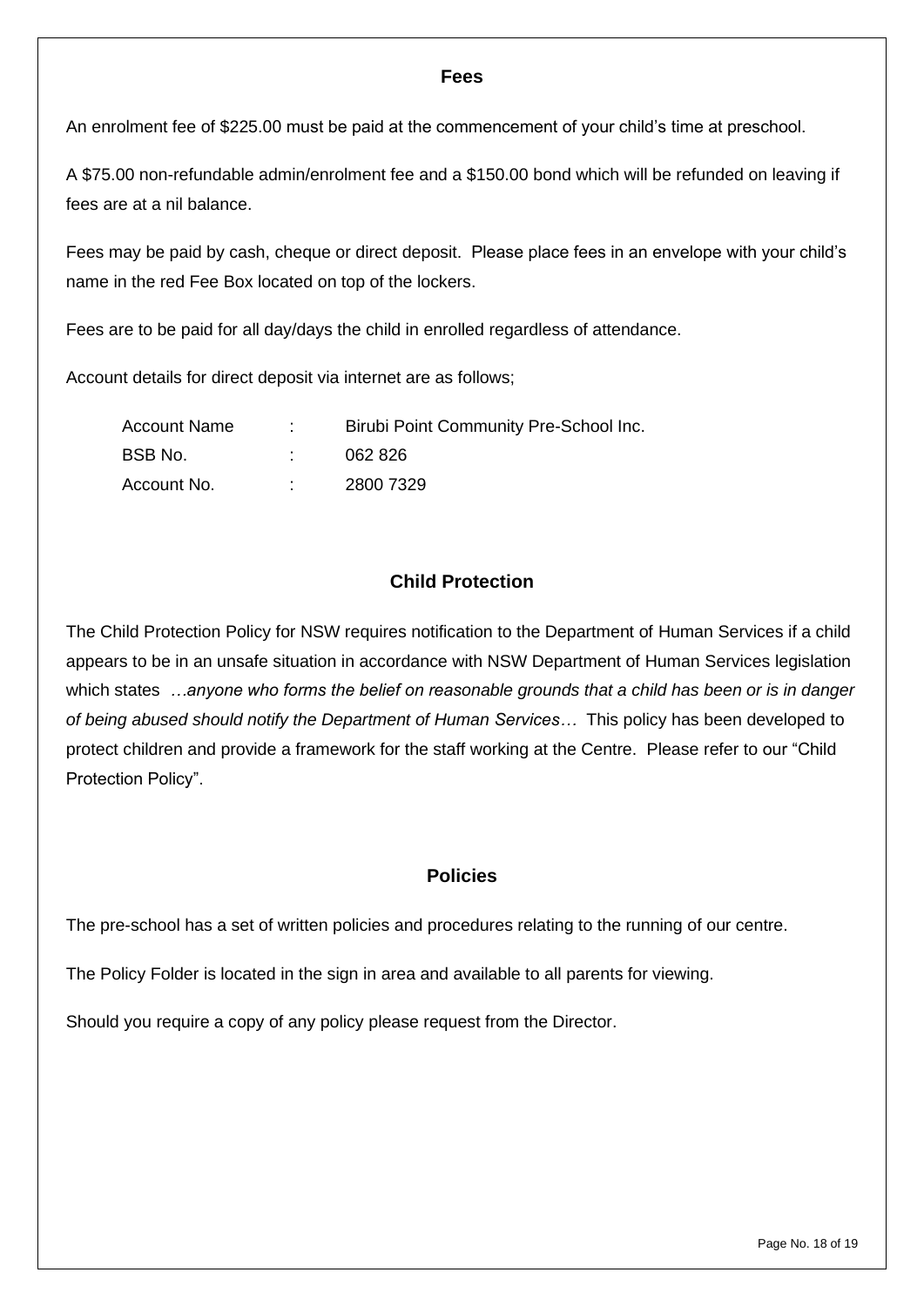#### **Fees**

An enrolment fee of \$225.00 must be paid at the commencement of your child's time at preschool.

A \$75.00 non-refundable admin/enrolment fee and a \$150.00 bond which will be refunded on leaving if fees are at a nil balance.

Fees may be paid by cash, cheque or direct deposit. Please place fees in an envelope with your child's name in the red Fee Box located on top of the lockers.

Fees are to be paid for all day/days the child in enrolled regardless of attendance.

Account details for direct deposit via internet are as follows;

| <b>Account Name</b> | Birubi Point Community Pre-School Inc. |
|---------------------|----------------------------------------|
| BSB No.             | 062 826                                |
| Account No.         | 2800 7329                              |

# **Child Protection**

The Child Protection Policy for NSW requires notification to the Department of Human Services if a child appears to be in an unsafe situation in accordance with NSW Department of Human Services legislation which states *…anyone who forms the belief on reasonable grounds that a child has been or is in danger of being abused should notify the Department of Human Services…* This policy has been developed to protect children and provide a framework for the staff working at the Centre. Please refer to our "Child Protection Policy".

#### **Policies**

The pre-school has a set of written policies and procedures relating to the running of our centre.

The Policy Folder is located in the sign in area and available to all parents for viewing.

Should you require a copy of any policy please request from the Director.